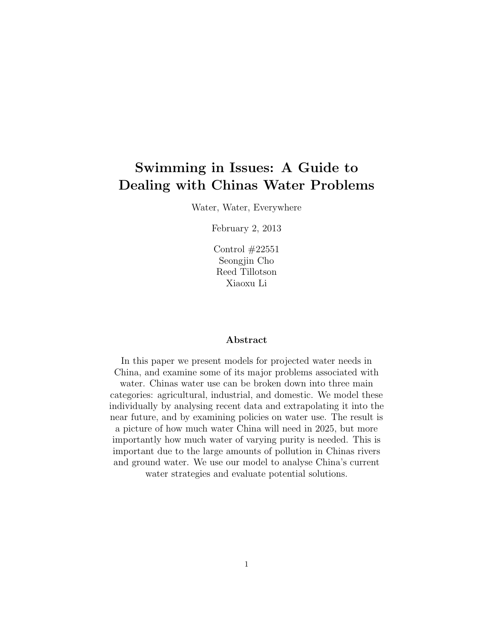# Swimming in Issues: A Guide to Dealing with Chinas Water Problems

Water, Water, Everywhere

February 2, 2013

Control #22551 Seongjin Cho Reed Tillotson Xiaoxu Li

### Abstract

In this paper we present models for projected water needs in China, and examine some of its major problems associated with

water. Chinas water use can be broken down into three main categories: agricultural, industrial, and domestic. We model these individually by analysing recent data and extrapolating it into the near future, and by examining policies on water use. The result is a picture of how much water China will need in 2025, but more importantly how much water of varying purity is needed. This is important due to the large amounts of pollution in Chinas rivers and ground water. We use our model to analyse China's current water strategies and evaluate potential solutions.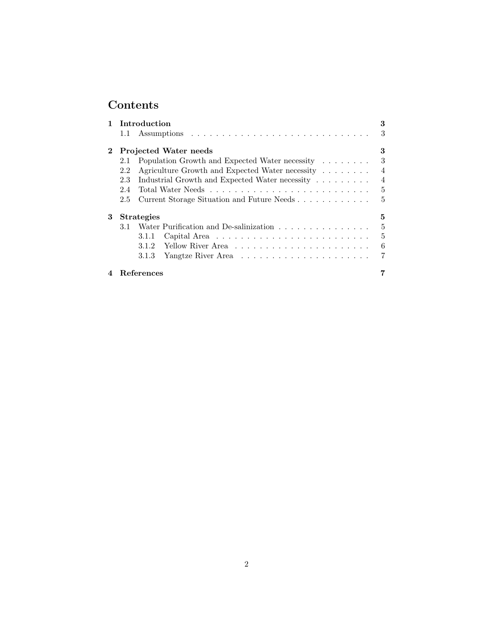# Contents

| Introduction |                                   |                                                                   |   |  |  |  |  |
|--------------|-----------------------------------|-------------------------------------------------------------------|---|--|--|--|--|
|              | 1.1                               |                                                                   | 3 |  |  |  |  |
| $\bf{2}$     | <b>Projected Water needs</b><br>3 |                                                                   |   |  |  |  |  |
|              | 2.1                               | Population Growth and Expected Water necessity                    |   |  |  |  |  |
|              | 2.2                               | Agriculture Growth and Expected Water necessity<br>$\overline{4}$ |   |  |  |  |  |
|              | 2.3                               | Industrial Growth and Expected Water necessity<br>$\overline{4}$  |   |  |  |  |  |
|              | 2.4                               |                                                                   | 5 |  |  |  |  |
|              | 2.5                               | Current Storage Situation and Future Needs                        | 5 |  |  |  |  |
| 3            | <b>Strategies</b><br>5            |                                                                   |   |  |  |  |  |
|              | 3.1                               | Water Purification and De-salinization                            | 5 |  |  |  |  |
|              |                                   | 3.1.1                                                             | 5 |  |  |  |  |
|              |                                   | 3.1.2                                                             | 6 |  |  |  |  |
|              |                                   | 3.1.3                                                             |   |  |  |  |  |
|              |                                   | References                                                        |   |  |  |  |  |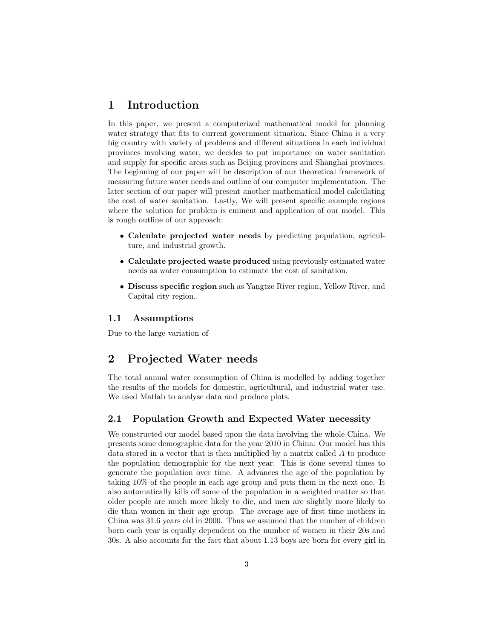## 1 Introduction

In this paper, we present a computerized mathematical model for planning water strategy that fits to current government situation. Since China is a very big country with variety of problems and different situations in each individual provinces involving water, we decides to put importance on water sanitation and supply for specific areas such as Beijing provinces and Shanghai provinces. The beginning of our paper will be description of our theoretical framework of measuring future water needs and outline of our computer implementation. The later section of our paper will present another mathematical model calculating the cost of water sanitation. Lastly, We will present specific example regions where the solution for problem is eminent and application of our model. This is rough outline of our approach:

- Calculate projected water needs by predicting population, agriculture, and industrial growth.
- Calculate projected waste produced using previously estimated water needs as water consumption to estimate the cost of sanitation.
- Discuss specific region such as Yangtze River region, Yellow River, and Capital city region..

### 1.1 Assumptions

Due to the large variation of

## 2 Projected Water needs

The total annual water consumption of China is modelled by adding together the results of the models for domestic, agricultural, and industrial water use. We used Matlab to analyse data and produce plots.

## 2.1 Population Growth and Expected Water necessity

We constructed our model based upon the data involving the whole China. We presents some demographic data for the year 2010 in China: Our model has this data stored in a vector that is then multiplied by a matrix called A to produce the population demographic for the next year. This is done several times to generate the population over time. A advances the age of the population by taking 10% of the people in each age group and puts them in the next one. It also automatically kills off some of the population in a weighted matter so that older people are much more likely to die, and men are slightly more likely to die than women in their age group. The average age of first time mothers in China was 31.6 years old in 2000. Thus we assumed that the number of children born each year is equally dependent on the number of women in their 20s and 30s. A also accounts for the fact that about 1.13 boys are born for every girl in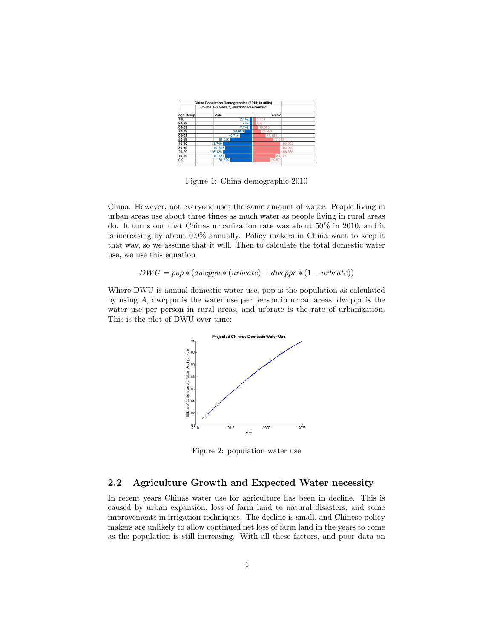| China Population Demographics (2010; in 000s) |                                           |        |         |         |  |  |
|-----------------------------------------------|-------------------------------------------|--------|---------|---------|--|--|
|                                               | Source: US Census, International Database |        |         |         |  |  |
|                                               |                                           |        |         |         |  |  |
| Age Group                                     |                                           | Male   | Female  |         |  |  |
| $100+$                                        |                                           | 2,142  | 8,155   |         |  |  |
| 90-99                                         |                                           | 447    | 956     |         |  |  |
| 80-89                                         |                                           | 7.742  | 10.503  |         |  |  |
| 70-79                                         |                                           | 26,960 | 28.593  |         |  |  |
| 60-69                                         |                                           | 48.714 | 47,125  |         |  |  |
| 50-59                                         |                                           | 81.020 | 77,645  |         |  |  |
| 40-49                                         | 113.749                                   |        | 109.092 |         |  |  |
| 30-39                                         | 107.893                                   |        | 103.050 |         |  |  |
| $20 - 29$                                     | 116,125                                   |        |         | 108,666 |  |  |
| 10-19                                         | 101.387                                   |        | 89.194  |         |  |  |
| $0-9$                                         |                                           | 81.599 | 69.671  |         |  |  |
|                                               |                                           |        |         |         |  |  |

Figure 1: China demographic 2010

China. However, not everyone uses the same amount of water. People living in urban areas use about three times as much water as people living in rural areas do. It turns out that Chinas urbanization rate was about 50% in 2010, and it is increasing by about 0.9% annually. Policy makers in China want to keep it that way, so we assume that it will. Then to calculate the total domestic water use, we use this equation

 $DWU = pop * (dwcppu * (urbrate) + dwcppr * (1 - urbrate))$ 

Where DWU is annual domestic water use, pop is the population as calculated by using A, dwcppu is the water use per person in urban areas, dwcppr is the water use per person in rural areas, and urbrate is the rate of urbanization. This is the plot of DWU over time:



Figure 2: population water use

## 2.2 Agriculture Growth and Expected Water necessity

In recent years Chinas water use for agriculture has been in decline. This is caused by urban expansion, loss of farm land to natural disasters, and some improvements in irrigation techniques. The decline is small, and Chinese policy makers are unlikely to allow continued net loss of farm land in the years to come as the population is still increasing. With all these factors, and poor data on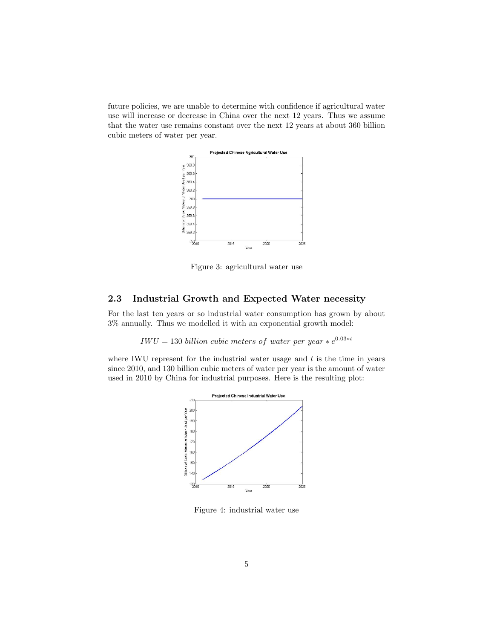future policies, we are unable to determine with confidence if agricultural water use will increase or decrease in China over the next 12 years. Thus we assume that the water use remains constant over the next 12 years at about 360 billion cubic meters of water per year.



Figure 3: agricultural water use

## 2.3 Industrial Growth and Expected Water necessity

For the last ten years or so industrial water consumption has grown by about 3% annually. Thus we modelled it with an exponential growth model:

 $IWU = 130\ billion\ cubic\ meters\ of\ water\ per\ year * e^{0.03 * t}$ 

where IWU represent for the industrial water usage and  $t$  is the time in years since 2010, and 130 billion cubic meters of water per year is the amount of water used in 2010 by China for industrial purposes. Here is the resulting plot:



Figure 4: industrial water use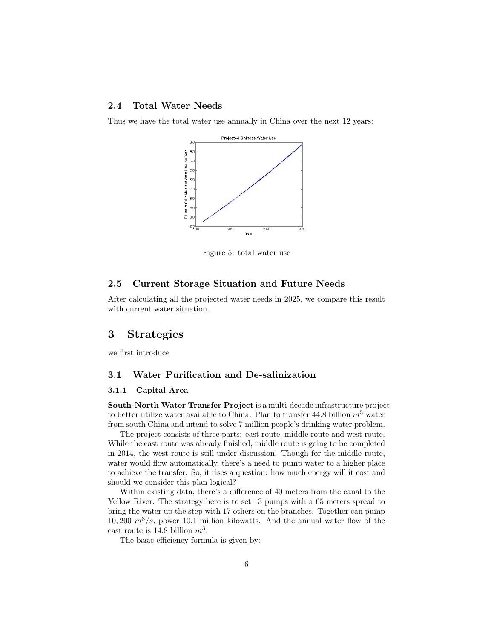## 2.4 Total Water Needs

Thus we have the total water use annually in China over the next 12 years:



Figure 5: total water use

## 2.5 Current Storage Situation and Future Needs

After calculating all the projected water needs in 2025, we compare this result with current water situation.

## 3 Strategies

we first introduce

## 3.1 Water Purification and De-salinization

#### 3.1.1 Capital Area

South-North Water Transfer Project is a multi-decade infrastructure project to better utilize water available to China. Plan to transfer 44.8 billion  $m<sup>3</sup>$  water from south China and intend to solve 7 million people's drinking water problem.

The project consists of three parts: east route, middle route and west route. While the east route was already finished, middle route is going to be completed in 2014, the west route is still under discussion. Though for the middle route, water would flow automatically, there's a need to pump water to a higher place to achieve the transfer. So, it rises a question: how much energy will it cost and should we consider this plan logical?

Within existing data, there's a difference of 40 meters from the canal to the Yellow River. The strategy here is to set 13 pumps with a 65 meters spread to bring the water up the step with 17 others on the branches. Together can pump 10, 200  $m^3/s$ , power 10.1 million kilowatts. And the annual water flow of the east route is 14.8 billion  $m^3$ .

The basic efficiency formula is given by: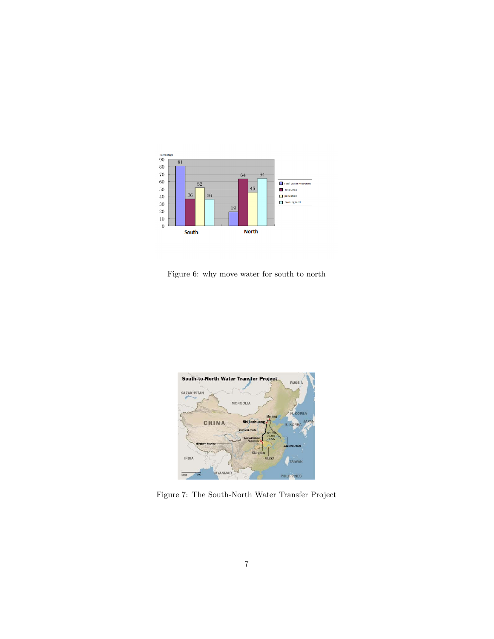

Figure 6: why move water for south to north



Figure 7: The South-North Water Transfer Project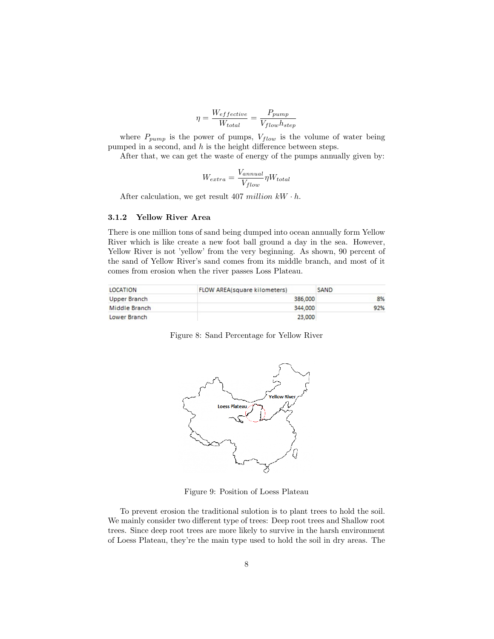$$
\eta = \frac{W_{effective}}{W_{total}} = \frac{P_{pump}}{V_{flow}h_{step}}
$$

where  $P_{pump}$  is the power of pumps,  $V_{flow}$  is the volume of water being pumped in a second, and  $h$  is the height difference between steps.

After that, we can get the waste of energy of the pumps annually given by:

$$
W_{extra} = \frac{V_{annual}}{V_{flow}} \eta W_{total}
$$

After calculation, we get result 407 million  $kW \cdot h$ .

#### 3.1.2 Yellow River Area

There is one million tons of sand being dumped into ocean annually form Yellow River which is like create a new foot ball ground a day in the sea. However, Yellow River is not 'yellow' from the very beginning. As shown, 90 percent of the sand of Yellow River's sand comes from its middle branch, and most of it comes from erosion when the river passes Loss Plateau.

| LOCATION      | <b>FLOW AREA(square kilometers)</b> | SAND |
|---------------|-------------------------------------|------|
| Upper Branch  | 386,000                             | 8%   |
| Middle Branch | 344,000                             | 92%  |
| Lower Branch  | 23,000                              |      |

Figure 8: Sand Percentage for Yellow River



Figure 9: Position of Loess Plateau

To prevent erosion the traditional sulotion is to plant trees to hold the soil. We mainly consider two different type of trees: Deep root trees and Shallow root trees. Since deep root trees are more likely to survive in the harsh environment of Loess Plateau, they're the main type used to hold the soil in dry areas. The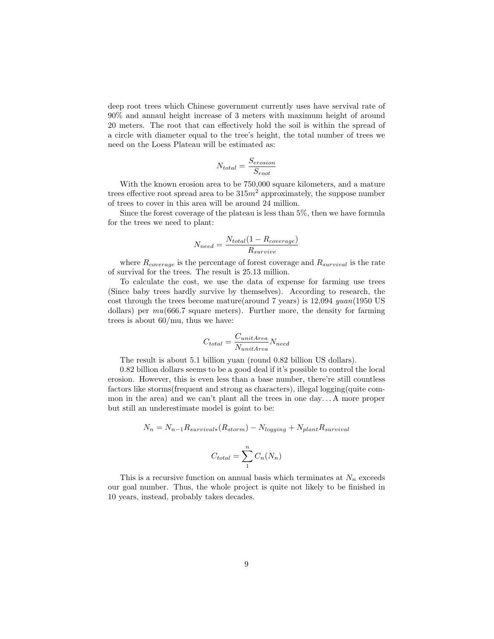deep root trees which Chinese government currently uses have servival rate of 90% and annaul height increase of 3 meters with maximum height of around 20 meters. The root that can effectively hold the soil is within the spread of a circle with diameter equal to the tree's height, the total number of trees we need on the Loess Plateau will be estimated as:

$$
N_{total} = \frac{S_{erosion}}{S_{root}}
$$

With the known erosion area to be 750,000 square kilometers, and a mature trees effective root spread area to be  $315m^2$  approximately, the suppose number of trees to cover in this area will be around 24 million.

Since the forest coverage of the plateau is less than 5%, then we have formula for the trees we need to plant:

$$
N_{need} = \frac{N_{total}(1 - R_{coverage})}{R_{survive}}
$$

where  $R_{coverage}$  is the percentage of forest coverage and  $R_{survival}$  is the rate of survival for the trees. The result is 25.13 million.

To calculate the cost, we use the data of expense for farming use trees (Since baby trees hardly survive by themselves). According to research, the cost through the trees become mature(around 7 years) is 12,094 yuan(1950 US dollars) per  $mu(666.7 \text{ square meters})$ . Further more, the density for farming trees is about 60/mu, thus we have:

$$
C_{total} = \frac{C_{unitArea}}{N_{unitArea}} N_{need}
$$

The result is about 5.1 billion yuan (round 0.82 billion US dollars).

0.82 billion dollars seems to be a good deal if it's possible to control the local erosion. However, this is even less than a base number, there're still countless factors like storms(frequent and strong as characters), illegal logging(quite common in the area) and we can't plant all the trees in one day. . . A more proper but still an underestimate model is goint to be:

$$
N_n = N_{n-1}R_{survival*}(R_{storm}) - N_{logging} + N_{plant}R_{survival}
$$

$$
C_{total} = \sum_{n=1}^{n} C_n(N_n)
$$

This is a recursive function on annual basis which terminates at  $N_n$  exceeds our goal number. Thus, the whole project is quite not likely to be finished in 10 years, instead, probably takes decades.